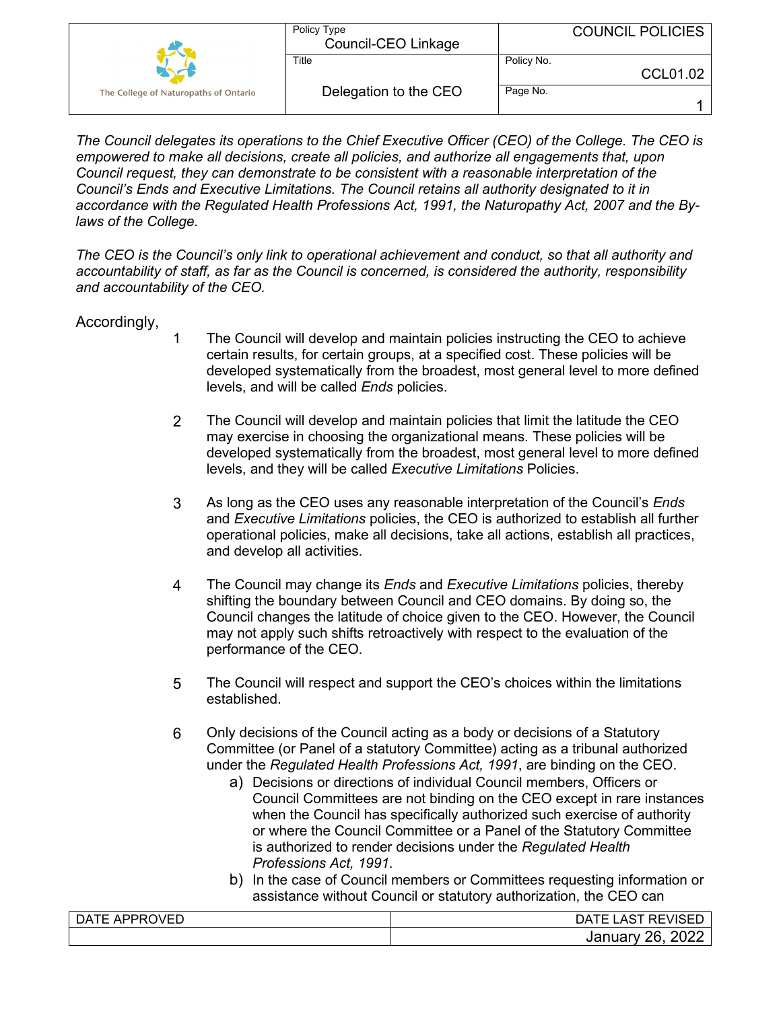|                                       | Policy Type<br>Council-CEO Linkage | <b>COUNCIL POLICIES</b> |
|---------------------------------------|------------------------------------|-------------------------|
|                                       | Title                              | Policy No.<br>CCL01.02  |
| The College of Naturopaths of Ontario | Delegation to the CEO              | Page No.                |

*The Council delegates its operations to the Chief Executive Officer (CEO) of the College. The CEO is empowered to make all decisions, create all policies, and authorize all engagements that, upon Council request, they can demonstrate to be consistent with a reasonable interpretation of the Council's Ends and Executive Limitations. The Council retains all authority designated to it in accordance with the Regulated Health Professions Act, 1991, the Naturopathy Act, 2007 and the Bylaws of the College.* 

*The CEO is the Council's only link to operational achievement and conduct, so that all authority and accountability of staff, as far as the Council is concerned, is considered the authority, responsibility and accountability of the CEO.* 

## Accordingly,

- 1 The Council will develop and maintain policies instructing the CEO to achieve certain results, for certain groups, at a specified cost. These policies will be developed systematically from the broadest, most general level to more defined levels, and will be called *Ends* policies.
- 2 The Council will develop and maintain policies that limit the latitude the CEO may exercise in choosing the organizational means. These policies will be developed systematically from the broadest, most general level to more defined levels, and they will be called *Executive Limitations* Policies.
- 3 As long as the CEO uses any reasonable interpretation of the Council's *Ends* and *Executive Limitations* policies, the CEO is authorized to establish all further operational policies, make all decisions, take all actions, establish all practices, and develop all activities.
- 4 The Council may change its *Ends* and *Executive Limitations* policies, thereby shifting the boundary between Council and CEO domains. By doing so, the Council changes the latitude of choice given to the CEO. However, the Council may not apply such shifts retroactively with respect to the evaluation of the performance of the CEO.
- 5 The Council will respect and support the CEO's choices within the limitations established.
- 6 Only decisions of the Council acting as a body or decisions of a Statutory Committee (or Panel of a statutory Committee) acting as a tribunal authorized under the *Regulated Health Professions Act, 1991*, are binding on the CEO.
	- a) Decisions or directions of individual Council members, Officers or Council Committees are not binding on the CEO except in rare instances when the Council has specifically authorized such exercise of authority or where the Council Committee or a Panel of the Statutory Committee is authorized to render decisions under the *Regulated Health Professions Act, 1991*.
	- b) In the case of Council members or Committees requesting information or assistance without Council or statutory authorization, the CEO can

| DATE APPROVED | <b>REVISED</b><br>AT'<br>A5 |
|---------------|-----------------------------|
|               | 2022<br>26.<br>January 1    |